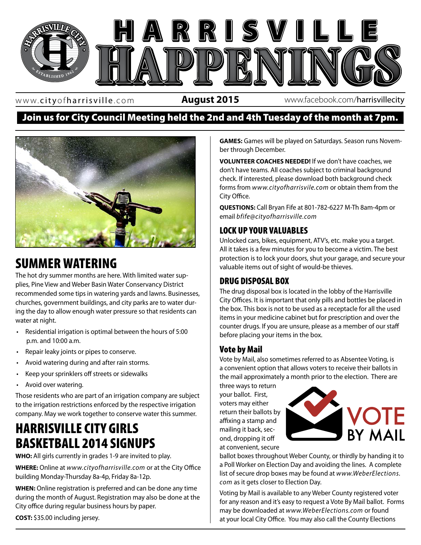

www. cityofharrisville .com

**August 2015** www.facebook.com/harrisvillecity

### Join us for City Council Meeting held the 2nd and 4th Tuesday of the month at 7pm.



### SUMMER WATERING

The hot dry summer months are here. With limited water supplies, Pine View and Weber Basin Water Conservancy District recommended some tips in watering yards and lawns. Businesses, churches, government buildings, and city parks are to water during the day to allow enough water pressure so that residents can water at night.

- Residential irrigation is optimal between the hours of 5:00 p.m. and 10:00 a.m.
- Repair leaky joints or pipes to conserve.
- Avoid watering during and after rain storms.
- Keep your sprinklers off streets or sidewalks
- Avoid over watering.

Those residents who are part of an irrigation company are subject to the irrigation restrictions enforced by the respective irrigation company. May we work together to conserve water this summer.

## HARRISVILLE CITY GIRLS BASKETBALL 2014 SIGNUPS

**WHO:** All girls currently in grades 1-9 are invited to play.

**WHERE:** Online at *www.cityofharrisville.com* or at the City Office building Monday-Thursday 8a-4p, Friday 8a-12p.

**WHEN:** Online registration is preferred and can be done any time during the month of August. Registration may also be done at the City office during regular business hours by paper.

**COST:** \$35.00 including jersey.

**GAMES:** Games will be played on Saturdays. Season runs November through December.

**VOLUNTEER COACHES NEEDED!** If we don't have coaches, we don't have teams. All coaches subject to criminal background check. If interested, please download both background check forms from *www.cityofharrisvile.com* or obtain them from the City Office.

**QUESTIONS:** Call Bryan Fife at 801-782-6227 M-Th 8am-4pm or email *bfife@cityofharrisville.com*

### LOCK UP YOUR VALUABLES

Unlocked cars, bikes, equipment, ATV's, etc. make you a target. All it takes is a few minutes for you to become a victim. The best protection is to lock your doors, shut your garage, and secure your valuable items out of sight of would-be thieves.

#### $\frac{1}{3}$  **DRUG DISPOSAL BOX**

The drug disposal box is located in the lobby of the Harrisville City Offices. It is important that only pills and bottles be placed in the box. This box is not to be used as a receptacle for all the used items in your medicine cabinet but for prescription and over the counter drugs. If you are unsure, please as a member of our staff before placing your items in the box.

#### Vote by Mail

Vote by Mail, also sometimes referred to as Absentee Voting, is a convenient option that allows voters to receive their ballots in the mail approximately a month prior to the election. There are

three ways to return your ballot. First, voters may either return their ballots by affixing a stamp and mailing it back, second, dropping it off at convenient, secure



ballot boxes throughout Weber County, or thirdly by handing it to a Poll Worker on Election Day and avoiding the lines. A complete list of secure drop boxes may be found at *www.WeberElections. com* as it gets closer to Election Day.

Voting by Mail is available to any Weber County registered voter for any reason and it's easy to request a Vote By Mail ballot. Forms may be downloaded at *www.WeberElections.com* or found at your local City Office. You may also call the County Elections